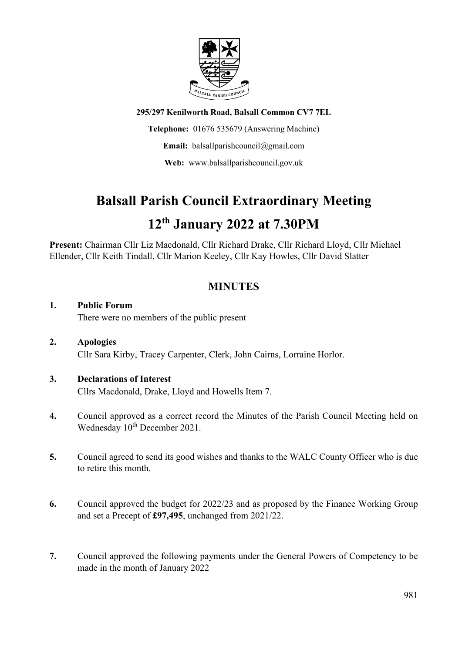

**295/297 Kenilworth Road, Balsall Common CV7 7EL**

**Telephone:** 01676 535679 (Answering Machine)

**Email:** balsallparishcouncil@gmail.com

**Web:** www.balsallparishcouncil.gov.uk

## **Balsall Parish Council Extraordinary Meeting**

## **12th January 2022 at 7.30PM**

**Present:** Chairman Cllr Liz Macdonald, Cllr Richard Drake, Cllr Richard Lloyd, Cllr Michael Ellender, Cllr Keith Tindall, Cllr Marion Keeley, Cllr Kay Howles, Cllr David Slatter

### **MINUTES**

#### **1. Public Forum**

There were no members of the public present

**2. Apologies** Cllr Sara Kirby, Tracey Carpenter, Clerk, John Cairns, Lorraine Horlor.

# **3. Declarations of Interest**

Cllrs Macdonald, Drake, Lloyd and Howells Item 7.

- **4.** Council approved as a correct record the Minutes of the Parish Council Meeting held on Wednesday 10<sup>th</sup> December 2021.
- **5.** Council agreed to send its good wishes and thanks to the WALC County Officer who is due to retire this month.
- **6.** Council approved the budget for 2022/23 and as proposed by the Finance Working Group and set a Precept of **£97,495**, unchanged from 2021/22.
- **7.** Council approved the following payments under the General Powers of Competency to be made in the month of January 2022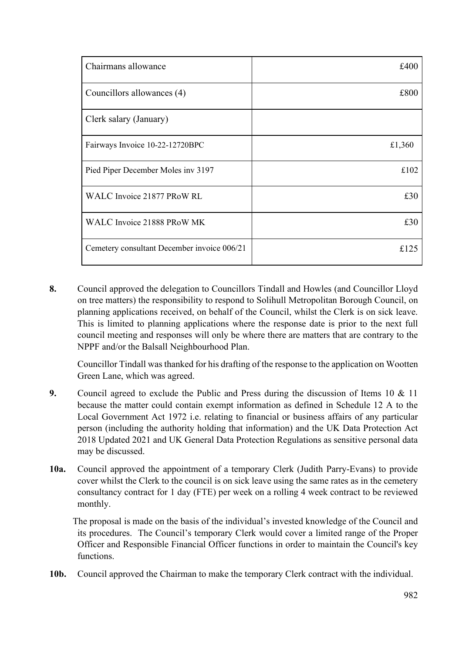| Chairmans allowance                         | £400   |
|---------------------------------------------|--------|
| Councillors allowances (4)                  | £800   |
| Clerk salary (January)                      |        |
| Fairways Invoice 10-22-12720BPC             | £1,360 |
| Pied Piper December Moles inv 3197          | £102   |
| WALC Invoice 21877 PRoW RL                  | £30    |
| WALC Invoice 21888 PRoW MK                  | £30    |
| Cemetery consultant December invoice 006/21 | £125   |

**8.** Council approved the delegation to Councillors Tindall and Howles (and Councillor Lloyd on tree matters) the responsibility to respond to Solihull Metropolitan Borough Council, on planning applications received, on behalf of the Council, whilst the Clerk is on sick leave. This is limited to planning applications where the response date is prior to the next full council meeting and responses will only be where there are matters that are contrary to the NPPF and/or the Balsall Neighbourhood Plan.

Councillor Tindall was thanked for his drafting of the response to the application on Wootten Green Lane, which was agreed.

- **9.** Council agreed to exclude the Public and Press during the discussion of Items 10 & 11 because the matter could contain exempt information as defined in Schedule 12 A to the Local Government Act 1972 i.e. relating to financial or business affairs of any particular person (including the authority holding that information) and the UK Data Protection Act 2018 Updated 2021 and UK General Data Protection Regulations as sensitive personal data may be discussed.
- **10a.** Council approved the appointment of a temporary Clerk (Judith Parry-Evans) to provide cover whilst the Clerk to the council is on sick leave using the same rates as in the cemetery consultancy contract for 1 day (FTE) per week on a rolling 4 week contract to be reviewed monthly.

 The proposal is made on the basis of the individual's invested knowledge of the Council and its procedures. The Council's temporary Clerk would cover a limited range of the Proper Officer and Responsible Financial Officer functions in order to maintain the Council's key functions.

**10b.** Council approved the Chairman to make the temporary Clerk contract with the individual.